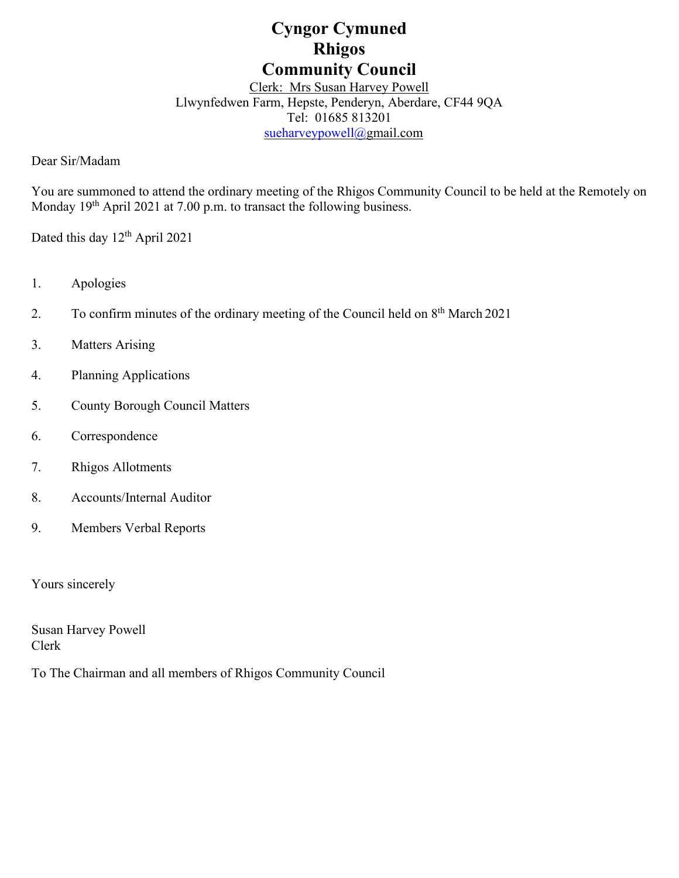# **Cyngor Cymuned Rhigos Community Council**

Clerk: Mrs Susan Harvey Powell Llwynfedwen Farm, Hepste, Penderyn, Aberdare, CF44 9QA Tel: 01685 813201 [sueharveypowell@g](mailto:sharveypowell@comin-infants.co.uk)mail.com

Dear Sir/Madam

You are summoned to attend the ordinary meeting of the Rhigos Community Council to be held at the Remotely on Monday 19<sup>th</sup> April 2021 at 7.00 p.m. to transact the following business.

Dated this day 12<sup>th</sup> April 2021

- 1. Apologies
- 2. To confirm minutes of the ordinary meeting of the Council held on  $8<sup>th</sup>$  March 2021
- 3. Matters Arising
- 4. Planning Applications
- 5. County Borough Council Matters
- 6. Correspondence
- 7. Rhigos Allotments
- 8. Accounts/Internal Auditor
- 9. Members Verbal Reports

Yours sincerely

Susan Harvey Powell Clerk

To The Chairman and all members of Rhigos Community Council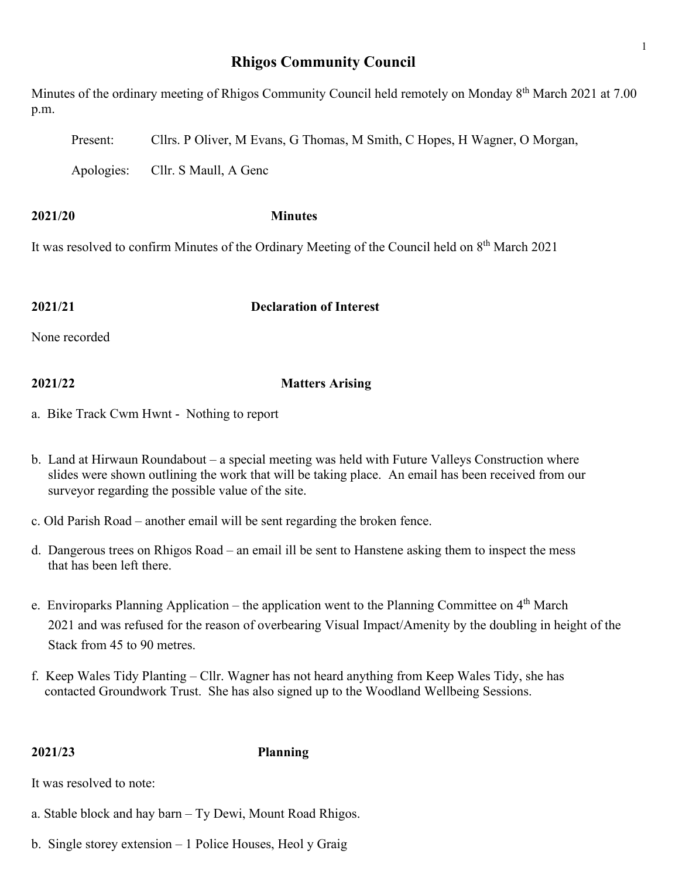# **Rhigos Community Council**

Minutes of the ordinary meeting of Rhigos Community Council held remotely on Monday 8<sup>th</sup> March 2021 at 7.00 p.m.

Present: Cllrs. P Oliver, M Evans, G Thomas, M Smith, C Hopes, H Wagner, O Morgan,

Apologies: Cllr. S Maull, A Genc

**2021/20 Minutes**

It was resolved to confirm Minutes of the Ordinary Meeting of the Council held on 8th March 2021

**2021/21 Declaration of Interest**

None recorded

# **2021/22 Matters Arising**

- a. Bike Track Cwm Hwnt Nothing to report
- b. Land at Hirwaun Roundabout a special meeting was held with Future Valleys Construction where slides were shown outlining the work that will be taking place. An email has been received from our surveyor regarding the possible value of the site.
- c. Old Parish Road another email will be sent regarding the broken fence.
- d. Dangerous trees on Rhigos Road an email ill be sent to Hanstene asking them to inspect the mess that has been left there.
- e. Enviroparks Planning Application the application went to the Planning Committee on  $4<sup>th</sup>$  March 2021 and was refused for the reason of overbearing Visual Impact/Amenity by the doubling in height of the Stack from 45 to 90 metres.
- f. Keep Wales Tidy Planting Cllr. Wagner has not heard anything from Keep Wales Tidy, she has contacted Groundwork Trust. She has also signed up to the Woodland Wellbeing Sessions.

**2021/23 Planning**

It was resolved to note:

- a. Stable block and hay barn Ty Dewi, Mount Road Rhigos.
- b. Single storey extension 1 Police Houses, Heol y Graig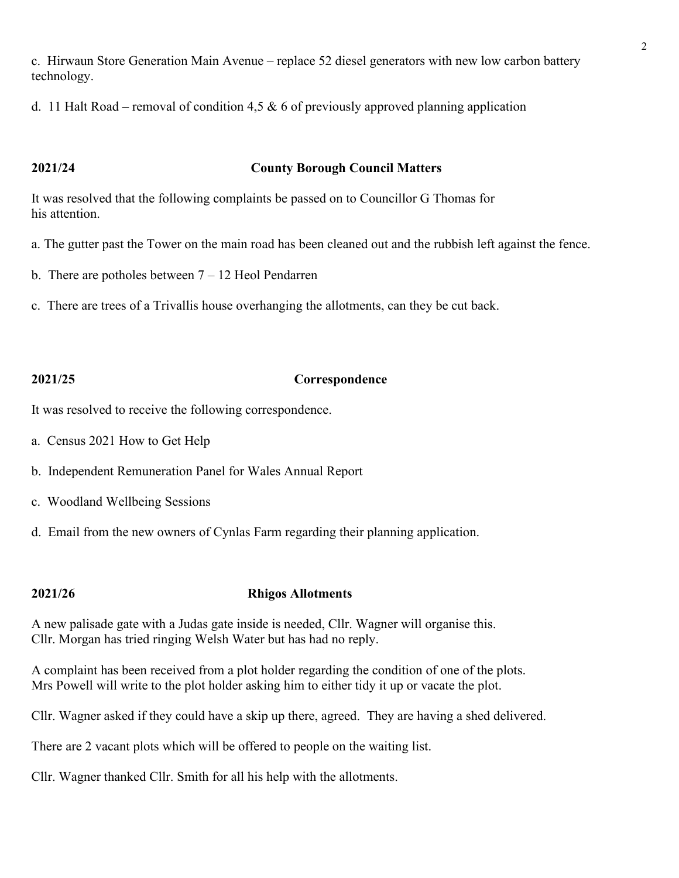c. Hirwaun Store Generation Main Avenue – replace 52 diesel generators with new low carbon battery technology.

d. 11 Halt Road – removal of condition 4,5  $\&$  6 of previously approved planning application

# **2021/24 County Borough Council Matters**

It was resolved that the following complaints be passed on to Councillor G Thomas for his attention.

- a. The gutter past the Tower on the main road has been cleaned out and the rubbish left against the fence.
- b. There are potholes between  $7 12$  Heol Pendarren
- c. There are trees of a Trivallis house overhanging the allotments, can they be cut back.

### **2021/25 Correspondence**

It was resolved to receive the following correspondence.

- a. Census 2021 How to Get Help
- b. Independent Remuneration Panel for Wales Annual Report
- c. Woodland Wellbeing Sessions
- d. Email from the new owners of Cynlas Farm regarding their planning application.

# **2021/26 Rhigos Allotments**

A new palisade gate with a Judas gate inside is needed, Cllr. Wagner will organise this. Cllr. Morgan has tried ringing Welsh Water but has had no reply.

A complaint has been received from a plot holder regarding the condition of one of the plots. Mrs Powell will write to the plot holder asking him to either tidy it up or vacate the plot.

Cllr. Wagner asked if they could have a skip up there, agreed. They are having a shed delivered.

There are 2 vacant plots which will be offered to people on the waiting list.

Cllr. Wagner thanked Cllr. Smith for all his help with the allotments.